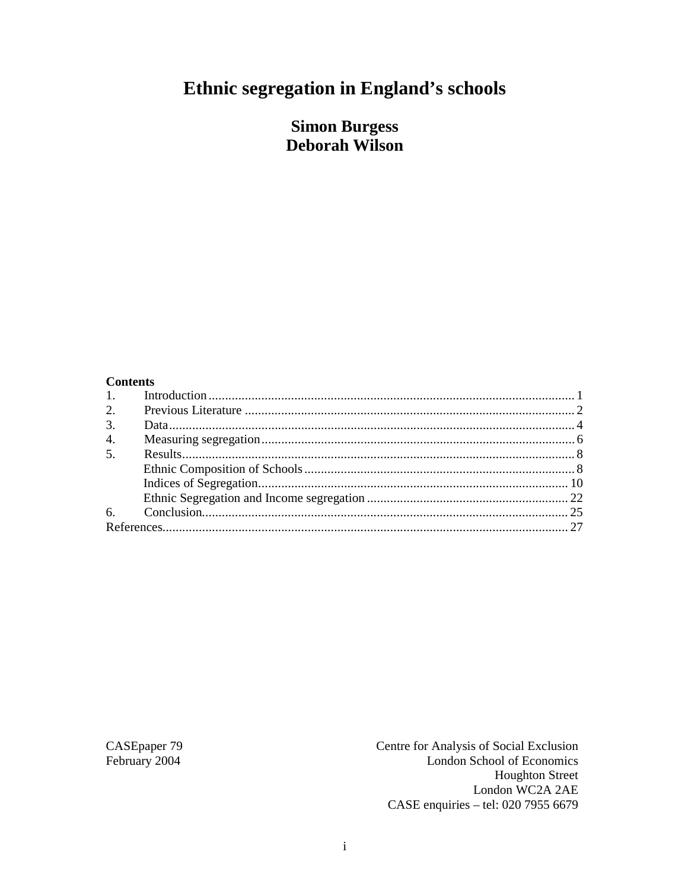# Ethnic segregation in England's schools

### **Simon Burgess Deborah Wilson**

#### **Contents**

| 2.               |  |
|------------------|--|
| 3.               |  |
| $\overline{4}$ . |  |
| 5.               |  |
|                  |  |
|                  |  |
|                  |  |
|                  |  |
|                  |  |

CASEpaper 79 February 2004

Centre for Analysis of Social Exclusion London School of Economics **Houghton Street** London WC2A 2AE CASE enquiries - tel: 020 7955 6679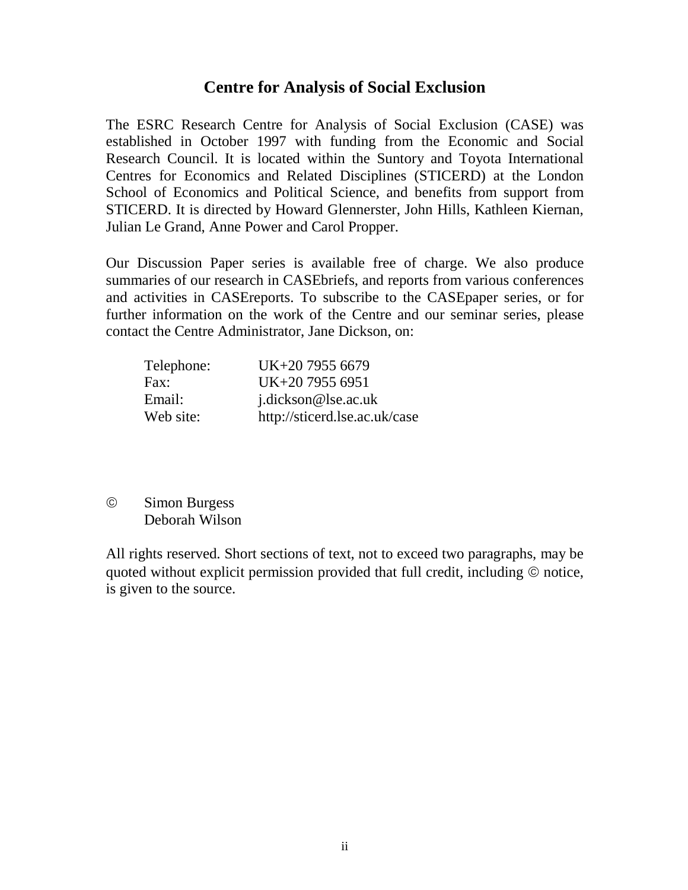#### **Centre for Analysis of Social Exclusion**

The ESRC Research Centre for Analysis of Social Exclusion (CASE) was established in October 1997 with funding from the Economic and Social Research Council. It is located within the Suntory and Toyota International Centres for Economics and Related Disciplines (STICERD) at the London School of Economics and Political Science, and benefits from support from STICERD. It is directed by Howard Glennerster, John Hills, Kathleen Kiernan, Julian Le Grand, Anne Power and Carol Propper.

Our Discussion Paper series is available free of charge. We also produce summaries of our research in CASEbriefs, and reports from various conferences and activities in CASEreports. To subscribe to the CASEpaper series, or for further information on the work of the Centre and our seminar series, please contact the Centre Administrator, Jane Dickson, on:

| Telephone: | UK+20 7955 6679               |
|------------|-------------------------------|
| Fax:       | UK+20 7955 6951               |
| Email:     | j.dickson@lse.ac.uk           |
| Web site:  | http://sticerd.lse.ac.uk/case |

 Simon Burgess Deborah Wilson

All rights reserved. Short sections of text, not to exceed two paragraphs, may be quoted without explicit permission provided that full credit, including  $\odot$  notice, is given to the source.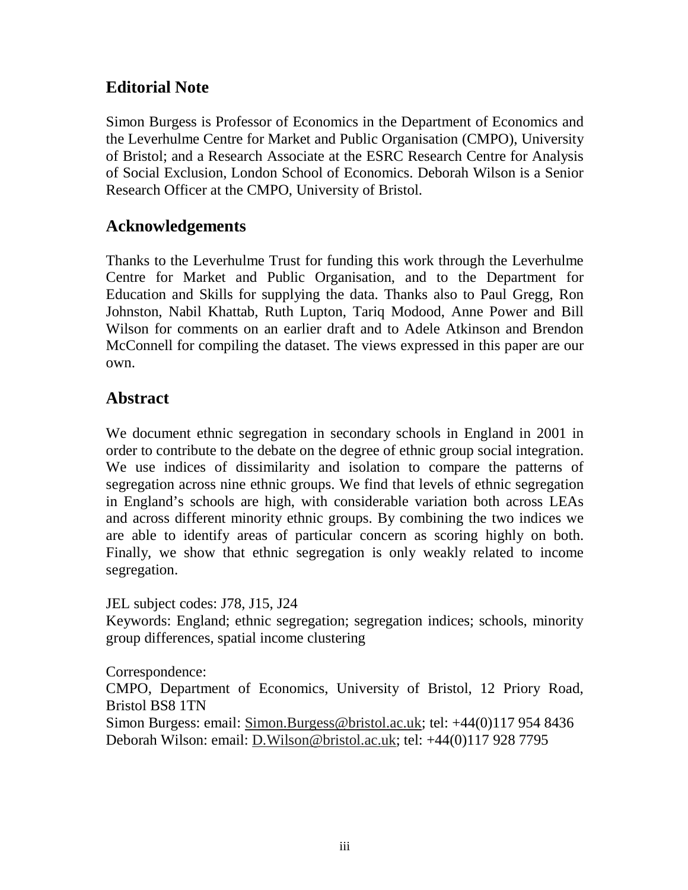### **Editorial Note**

Simon Burgess is Professor of Economics in the Department of Economics and the Leverhulme Centre for Market and Public Organisation (CMPO), University of Bristol; and a Research Associate at the ESRC Research Centre for Analysis of Social Exclusion, London School of Economics. Deborah Wilson is a Senior Research Officer at the CMPO, University of Bristol.

### **Acknowledgements**

Thanks to the Leverhulme Trust for funding this work through the Leverhulme Centre for Market and Public Organisation, and to the Department for Education and Skills for supplying the data. Thanks also to Paul Gregg, Ron Johnston, Nabil Khattab, Ruth Lupton, Tariq Modood, Anne Power and Bill Wilson for comments on an earlier draft and to Adele Atkinson and Brendon McConnell for compiling the dataset. The views expressed in this paper are our own.

### **Abstract**

We document ethnic segregation in secondary schools in England in 2001 in order to contribute to the debate on the degree of ethnic group social integration. We use indices of dissimilarity and isolation to compare the patterns of segregation across nine ethnic groups. We find that levels of ethnic segregation in England's schools are high, with considerable variation both across LEAs and across different minority ethnic groups. By combining the two indices we are able to identify areas of particular concern as scoring highly on both. Finally, we show that ethnic segregation is only weakly related to income segregation.

JEL subject codes: J78, J15, J24

Keywords: England; ethnic segregation; segregation indices; schools, minority group differences, spatial income clustering

Correspondence:

CMPO, Department of Economics, University of Bristol, 12 Priory Road, Bristol BS8 1TN

Simon Burgess: email: Simon.Burgess@bristol.ac.uk; tel: +44(0)117 954 8436 Deborah Wilson: email: D.Wilson@bristol.ac.uk; tel: +44(0)117 928 7795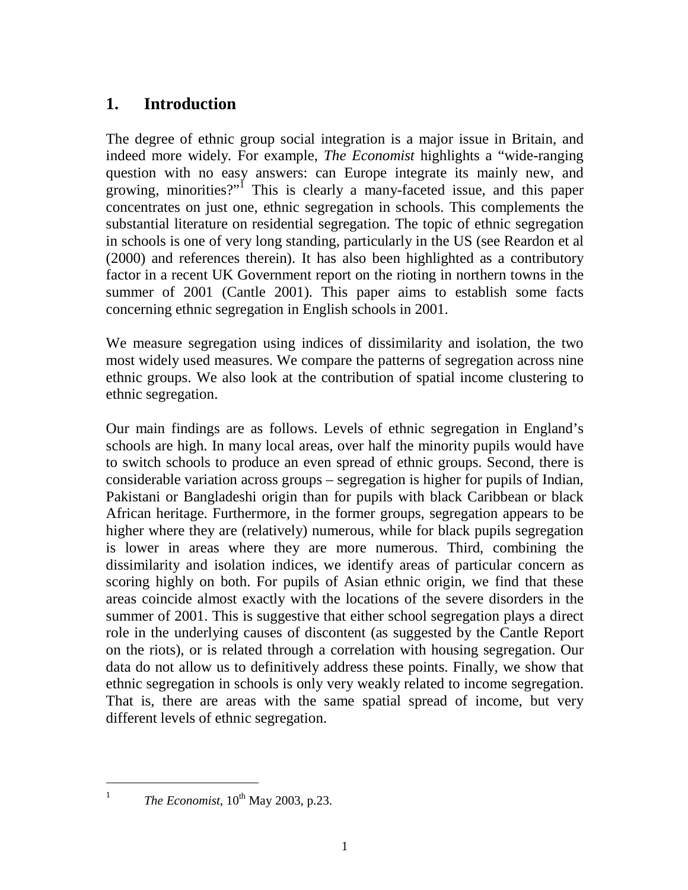### **1. Introduction**

The degree of ethnic group social integration is a major issue in Britain, and indeed more widely. For example, *The Economist* highlights a "wide-ranging question with no easy answers: can Europe integrate its mainly new, and growing, minorities?"<sup>I</sup> This is clearly a many-faceted issue, and this paper concentrates on just one, ethnic segregation in schools. This complements the substantial literature on residential segregation. The topic of ethnic segregation in schools is one of very long standing, particularly in the US (see Reardon et al (2000) and references therein). It has also been highlighted as a contributory factor in a recent UK Government report on the rioting in northern towns in the summer of 2001 (Cantle 2001). This paper aims to establish some facts concerning ethnic segregation in English schools in 2001.

We measure segregation using indices of dissimilarity and isolation, the two most widely used measures. We compare the patterns of segregation across nine ethnic groups. We also look at the contribution of spatial income clustering to ethnic segregation.

Our main findings are as follows. Levels of ethnic segregation in England's schools are high. In many local areas, over half the minority pupils would have to switch schools to produce an even spread of ethnic groups. Second, there is considerable variation across groups – segregation is higher for pupils of Indian, Pakistani or Bangladeshi origin than for pupils with black Caribbean or black African heritage. Furthermore, in the former groups, segregation appears to be higher where they are (relatively) numerous, while for black pupils segregation is lower in areas where they are more numerous. Third, combining the dissimilarity and isolation indices, we identify areas of particular concern as scoring highly on both. For pupils of Asian ethnic origin, we find that these areas coincide almost exactly with the locations of the severe disorders in the summer of 2001. This is suggestive that either school segregation plays a direct role in the underlying causes of discontent (as suggested by the Cantle Report on the riots), or is related through a correlation with housing segregation. Our data do not allow us to definitively address these points. Finally, we show that ethnic segregation in schools is only very weakly related to income segregation. That is, there are areas with the same spatial spread of income, but very different levels of ethnic segregation.

*The Economist*, 10<sup>th</sup> May 2003, p.23.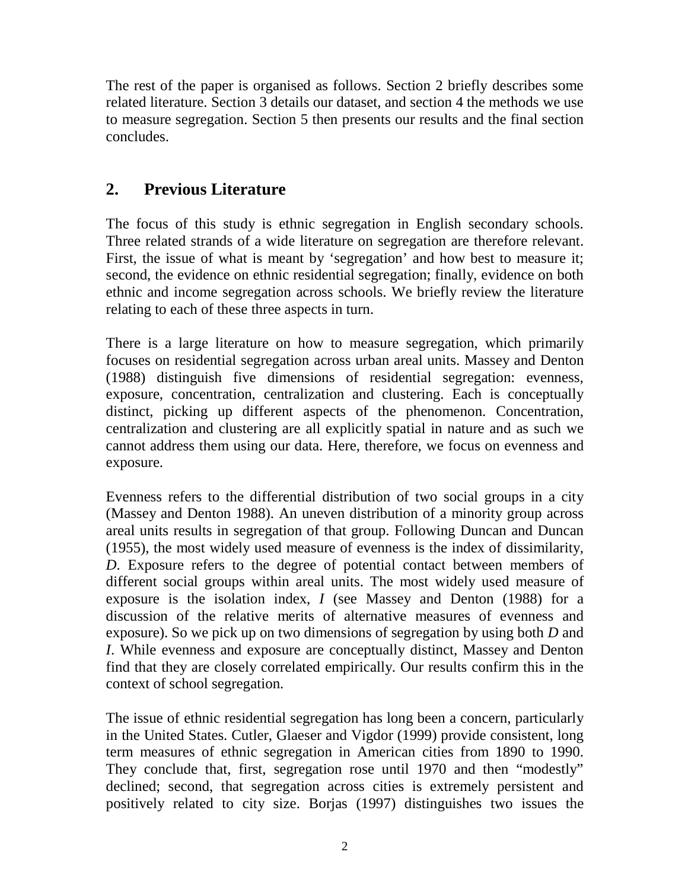The rest of the paper is organised as follows. Section 2 briefly describes some related literature. Section 3 details our dataset, and section 4 the methods we use to measure segregation. Section 5 then presents our results and the final section concludes.

### **2. Previous Literature**

The focus of this study is ethnic segregation in English secondary schools. Three related strands of a wide literature on segregation are therefore relevant. First, the issue of what is meant by 'segregation' and how best to measure it; second, the evidence on ethnic residential segregation; finally, evidence on both ethnic and income segregation across schools. We briefly review the literature relating to each of these three aspects in turn.

There is a large literature on how to measure segregation, which primarily focuses on residential segregation across urban areal units. Massey and Denton (1988) distinguish five dimensions of residential segregation: evenness, exposure, concentration, centralization and clustering. Each is conceptually distinct, picking up different aspects of the phenomenon. Concentration, centralization and clustering are all explicitly spatial in nature and as such we cannot address them using our data. Here, therefore, we focus on evenness and exposure.

Evenness refers to the differential distribution of two social groups in a city (Massey and Denton 1988). An uneven distribution of a minority group across areal units results in segregation of that group. Following Duncan and Duncan (1955), the most widely used measure of evenness is the index of dissimilarity, *D*. Exposure refers to the degree of potential contact between members of different social groups within areal units. The most widely used measure of exposure is the isolation index, *I* (see Massey and Denton (1988) for a discussion of the relative merits of alternative measures of evenness and exposure). So we pick up on two dimensions of segregation by using both *D* and *I*. While evenness and exposure are conceptually distinct, Massey and Denton find that they are closely correlated empirically. Our results confirm this in the context of school segregation.

The issue of ethnic residential segregation has long been a concern, particularly in the United States. Cutler, Glaeser and Vigdor (1999) provide consistent, long term measures of ethnic segregation in American cities from 1890 to 1990. They conclude that, first, segregation rose until 1970 and then "modestly" declined; second, that segregation across cities is extremely persistent and positively related to city size. Borjas (1997) distinguishes two issues the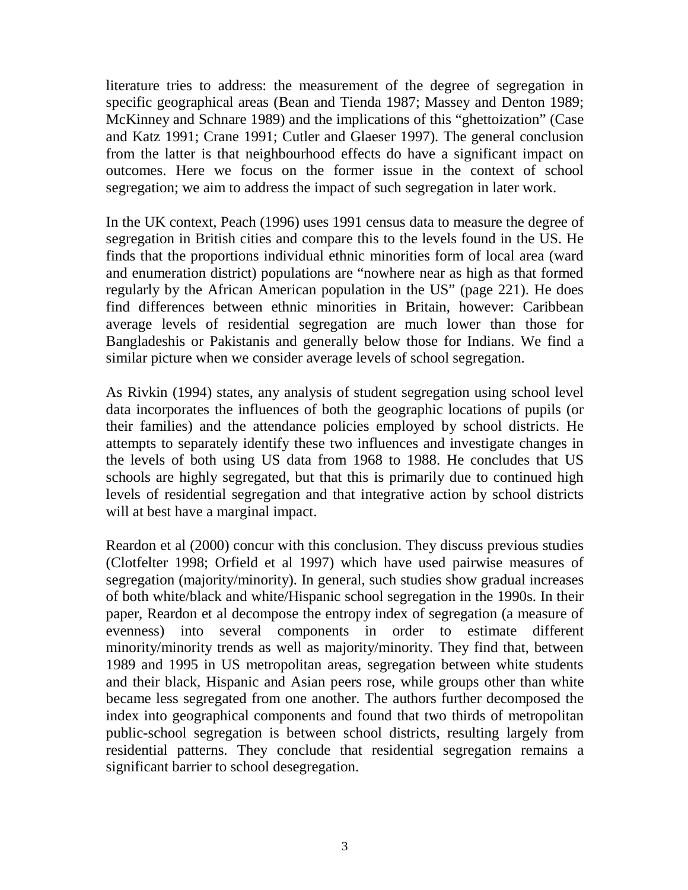literature tries to address: the measurement of the degree of segregation in specific geographical areas (Bean and Tienda 1987; Massey and Denton 1989; McKinney and Schnare 1989) and the implications of this "ghettoization" (Case and Katz 1991; Crane 1991; Cutler and Glaeser 1997). The general conclusion from the latter is that neighbourhood effects do have a significant impact on outcomes. Here we focus on the former issue in the context of school segregation; we aim to address the impact of such segregation in later work.

In the UK context, Peach (1996) uses 1991 census data to measure the degree of segregation in British cities and compare this to the levels found in the US. He finds that the proportions individual ethnic minorities form of local area (ward and enumeration district) populations are "nowhere near as high as that formed regularly by the African American population in the US" (page 221). He does find differences between ethnic minorities in Britain, however: Caribbean average levels of residential segregation are much lower than those for Bangladeshis or Pakistanis and generally below those for Indians. We find a similar picture when we consider average levels of school segregation.

As Rivkin (1994) states, any analysis of student segregation using school level data incorporates the influences of both the geographic locations of pupils (or their families) and the attendance policies employed by school districts. He attempts to separately identify these two influences and investigate changes in the levels of both using US data from 1968 to 1988. He concludes that US schools are highly segregated, but that this is primarily due to continued high levels of residential segregation and that integrative action by school districts will at best have a marginal impact.

Reardon et al (2000) concur with this conclusion. They discuss previous studies (Clotfelter 1998; Orfield et al 1997) which have used pairwise measures of segregation (majority/minority). In general, such studies show gradual increases of both white/black and white/Hispanic school segregation in the 1990s. In their paper, Reardon et al decompose the entropy index of segregation (a measure of evenness) into several components in order to estimate different minority/minority trends as well as majority/minority. They find that, between 1989 and 1995 in US metropolitan areas, segregation between white students and their black, Hispanic and Asian peers rose, while groups other than white became less segregated from one another. The authors further decomposed the index into geographical components and found that two thirds of metropolitan public-school segregation is between school districts, resulting largely from residential patterns. They conclude that residential segregation remains a significant barrier to school desegregation.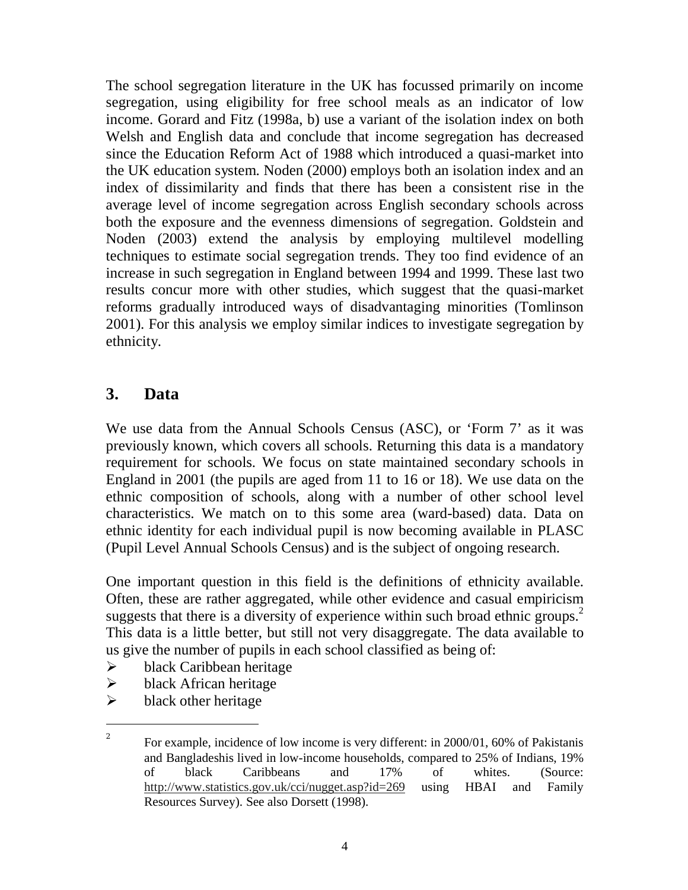The school segregation literature in the UK has focussed primarily on income segregation, using eligibility for free school meals as an indicator of low income. Gorard and Fitz (1998a, b) use a variant of the isolation index on both Welsh and English data and conclude that income segregation has decreased since the Education Reform Act of 1988 which introduced a quasi-market into the UK education system. Noden (2000) employs both an isolation index and an index of dissimilarity and finds that there has been a consistent rise in the average level of income segregation across English secondary schools across both the exposure and the evenness dimensions of segregation. Goldstein and Noden (2003) extend the analysis by employing multilevel modelling techniques to estimate social segregation trends. They too find evidence of an increase in such segregation in England between 1994 and 1999. These last two results concur more with other studies, which suggest that the quasi-market reforms gradually introduced ways of disadvantaging minorities (Tomlinson 2001). For this analysis we employ similar indices to investigate segregation by ethnicity.

### **3. Data**

We use data from the Annual Schools Census (ASC), or 'Form 7' as it was previously known, which covers all schools. Returning this data is a mandatory requirement for schools. We focus on state maintained secondary schools in England in 2001 (the pupils are aged from 11 to 16 or 18). We use data on the ethnic composition of schools, along with a number of other school level characteristics. We match on to this some area (ward-based) data. Data on ethnic identity for each individual pupil is now becoming available in PLASC (Pupil Level Annual Schools Census) and is the subject of ongoing research.

One important question in this field is the definitions of ethnicity available. Often, these are rather aggregated, while other evidence and casual empiricism suggests that there is a diversity of experience within such broad ethnic groups.<sup>2</sup> This data is a little better, but still not very disaggregate. The data available to us give the number of pupils in each school classified as being of:

- $\triangleright$  black Caribbean heritage
- $\triangleright$  black African heritage
- $\triangleright$  black other heritage

<sup>2</sup> For example, incidence of low income is very different: in 2000/01, 60% of Pakistanis and Bangladeshis lived in low-income households, compared to 25% of Indians, 19% of black Caribbeans and 17% of whites. (Source: http://www.statistics.gov.uk/cci/nugget.asp?id=269 using HBAI and Family Resources Survey). See also Dorsett (1998).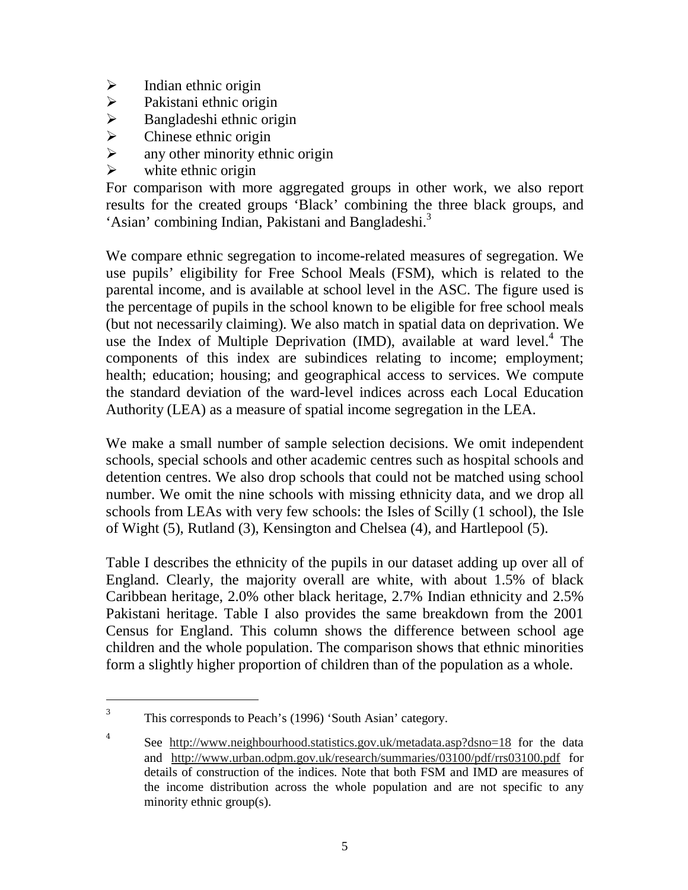- 
- $\triangleright$  Indian ethnic origin<br> $\triangleright$  Pakistani ethnic orig
- → Pakistani ethnic origin<br>
→ Bangladeshi ethnic origin<br>
→ Chinese ethnic origin Bangladeshi ethnic origin
- Chinese ethnic origin
- $\triangleright$  any other minority ethnic origin
- $\triangleright$  white ethnic origin

For comparison with more aggregated groups in other work, we also report results for the created groups 'Black' combining the three black groups, and 'Asian' combining Indian, Pakistani and Bangladeshi.<sup>3</sup>

We compare ethnic segregation to income-related measures of segregation. We use pupils' eligibility for Free School Meals (FSM), which is related to the parental income, and is available at school level in the ASC. The figure used is the percentage of pupils in the school known to be eligible for free school meals (but not necessarily claiming). We also match in spatial data on deprivation. We use the Index of Multiple Deprivation (IMD), available at ward level.<sup>4</sup> The components of this index are subindices relating to income; employment; health; education; housing; and geographical access to services. We compute the standard deviation of the ward-level indices across each Local Education Authority (LEA) as a measure of spatial income segregation in the LEA.

We make a small number of sample selection decisions. We omit independent schools, special schools and other academic centres such as hospital schools and detention centres. We also drop schools that could not be matched using school number. We omit the nine schools with missing ethnicity data, and we drop all schools from LEAs with very few schools: the Isles of Scilly (1 school), the Isle of Wight (5), Rutland (3), Kensington and Chelsea (4), and Hartlepool (5).

Table I describes the ethnicity of the pupils in our dataset adding up over all of England. Clearly, the majority overall are white, with about 1.5% of black Caribbean heritage, 2.0% other black heritage, 2.7% Indian ethnicity and 2.5% Pakistani heritage. Table I also provides the same breakdown from the 2001 Census for England. This column shows the difference between school age children and the whole population. The comparison shows that ethnic minorities form a slightly higher proportion of children than of the population as a whole.

 $\overline{a}$ 

4

<sup>3</sup> This corresponds to Peach's (1996) 'South Asian' category.

See http://www.neighbourhood.statistics.gov.uk/metadata.asp?dsno=18 for the data and http://www.urban.odpm.gov.uk/research/summaries/03100/pdf/rrs03100.pdf for details of construction of the indices. Note that both FSM and IMD are measures of the income distribution across the whole population and are not specific to any minority ethnic group(s).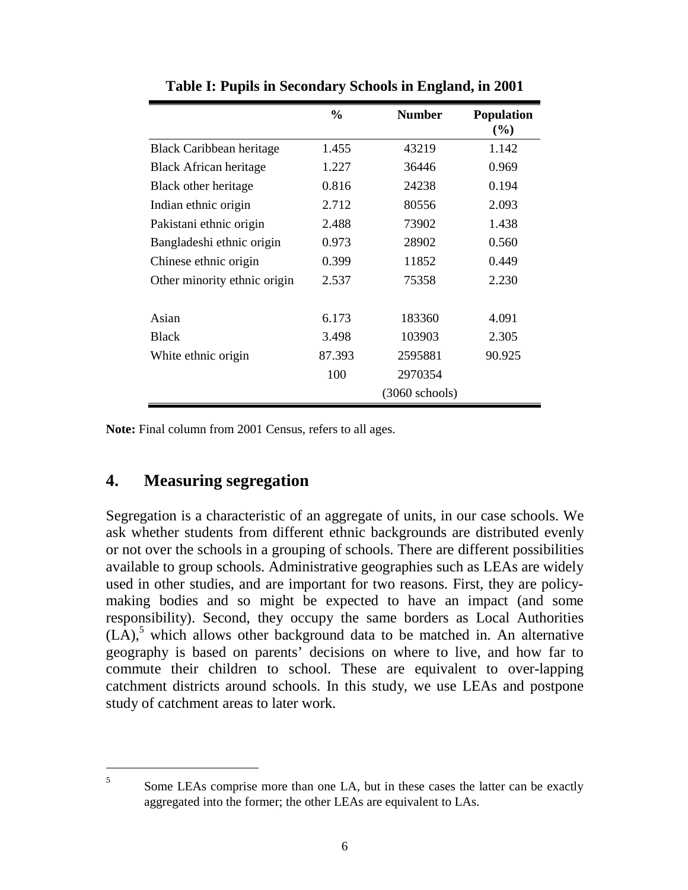|                               | $\frac{6}{9}$ | <b>Number</b>    | <b>Population</b><br>(%) |
|-------------------------------|---------------|------------------|--------------------------|
| Black Caribbean heritage      | 1.455         | 43219            | 1.142                    |
| <b>Black African heritage</b> | 1.227         | 36446            | 0.969                    |
| Black other heritage          | 0.816         | 24238            | 0.194                    |
| Indian ethnic origin          | 2.712         | 80556            | 2.093                    |
| Pakistani ethnic origin       | 2.488         | 73902            | 1.438                    |
| Bangladeshi ethnic origin     | 0.973         | 28902            | 0.560                    |
| Chinese ethnic origin         | 0.399         | 11852            | 0.449                    |
| Other minority ethnic origin  | 2.537         | 75358            | 2.230                    |
| Asian                         | 6.173         | 183360           | 4.091                    |
| <b>Black</b>                  | 3.498         | 103903           | 2.305                    |
| White ethnic origin           | 87.393        | 2595881          | 90.925                   |
|                               | 100           | 2970354          |                          |
|                               |               | $(3060$ schools) |                          |

**Table I: Pupils in Secondary Schools in England, in 2001** 

**Note:** Final column from 2001 Census, refers to all ages.

### **4. Measuring segregation**

Segregation is a characteristic of an aggregate of units, in our case schools. We ask whether students from different ethnic backgrounds are distributed evenly or not over the schools in a grouping of schools. There are different possibilities available to group schools. Administrative geographies such as LEAs are widely used in other studies, and are important for two reasons. First, they are policymaking bodies and so might be expected to have an impact (and some responsibility). Second, they occupy the same borders as Local Authorities  $(LA)$ ,<sup>5</sup> which allows other background data to be matched in. An alternative geography is based on parents' decisions on where to live, and how far to commute their children to school. These are equivalent to over-lapping catchment districts around schools. In this study, we use LEAs and postpone study of catchment areas to later work.

 $\overline{a}$ 5

Some LEAs comprise more than one LA, but in these cases the latter can be exactly aggregated into the former; the other LEAs are equivalent to LAs.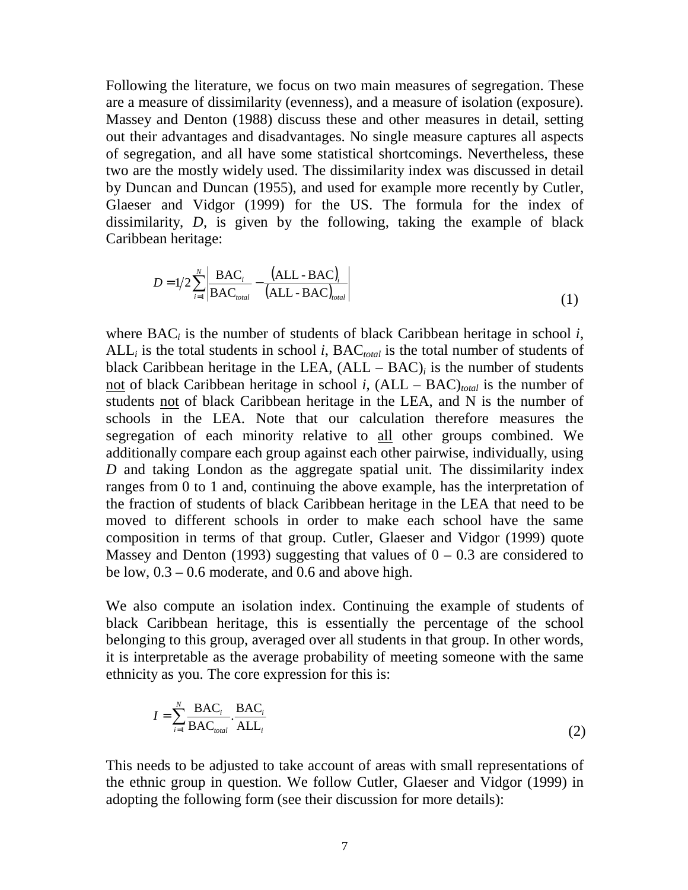Following the literature, we focus on two main measures of segregation. These are a measure of dissimilarity (evenness), and a measure of isolation (exposure). Massey and Denton (1988) discuss these and other measures in detail, setting out their advantages and disadvantages. No single measure captures all aspects of segregation, and all have some statistical shortcomings. Nevertheless, these two are the mostly widely used. The dissimilarity index was discussed in detail by Duncan and Duncan (1955), and used for example more recently by Cutler, Glaeser and Vidgor (1999) for the US. The formula for the index of dissimilarity, *D*, is given by the following, taking the example of black Caribbean heritage:

$$
D = 1/2 \sum_{i=1}^{N} \left| \frac{\text{BAC}_i}{\text{BAC}_{total}} - \frac{(\text{ALL} - \text{BAC})_i}{(\text{ALL} - \text{BAC})_{total}} \right| \tag{1}
$$

where BAC*i* is the number of students of black Caribbean heritage in school *i*,  $ALL<sub>i</sub>$  is the total students in school *i*,  $BAC<sub>total</sub>$  is the total number of students of black Caribbean heritage in the LEA,  $(ALL - BAC)_i$  is the number of students <u>not</u> of black Caribbean heritage in school *i*,  $(ALL - BAC)_{total}$  is the number of students not of black Caribbean heritage in the LEA, and N is the number of schools in the LEA. Note that our calculation therefore measures the segregation of each minority relative to all other groups combined. We additionally compare each group against each other pairwise, individually, using *D* and taking London as the aggregate spatial unit. The dissimilarity index ranges from 0 to 1 and, continuing the above example, has the interpretation of the fraction of students of black Caribbean heritage in the LEA that need to be moved to different schools in order to make each school have the same composition in terms of that group. Cutler, Glaeser and Vidgor (1999) quote Massey and Denton (1993) suggesting that values of  $0 - 0.3$  are considered to be low, 0.3 – 0.6 moderate, and 0.6 and above high.

We also compute an isolation index. Continuing the example of students of black Caribbean heritage, this is essentially the percentage of the school belonging to this group, averaged over all students in that group. In other words, it is interpretable as the average probability of meeting someone with the same ethnicity as you. The core expression for this is:

$$
I = \sum_{i=1}^{N} \frac{\text{BAC}_i}{\text{BAC}_{total}} \cdot \frac{\text{BAC}_i}{\text{ALL}_i}
$$
(2)

This needs to be adjusted to take account of areas with small representations of the ethnic group in question. We follow Cutler, Glaeser and Vidgor (1999) in adopting the following form (see their discussion for more details):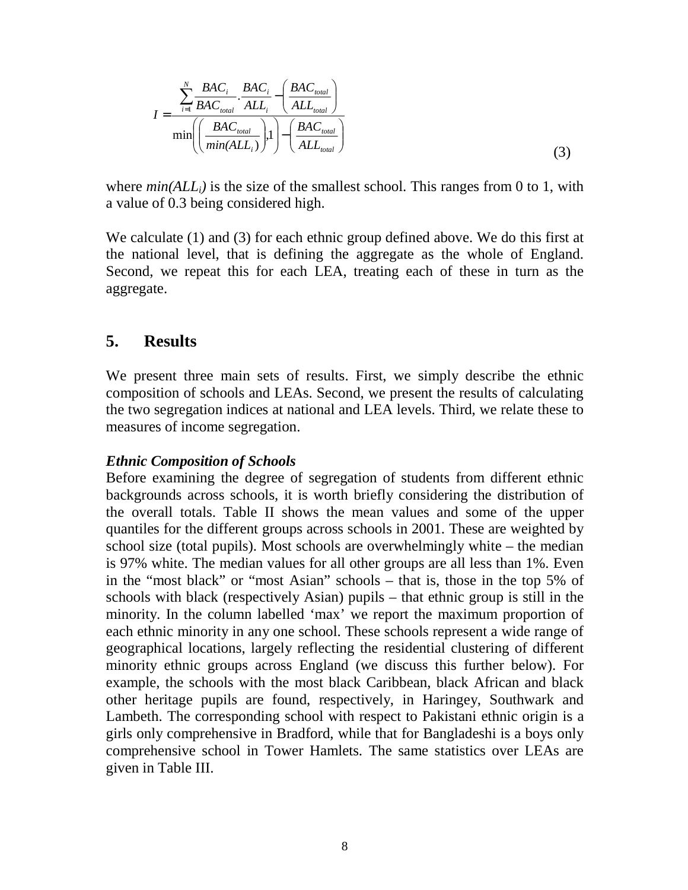$$
I = \frac{\sum_{i=1}^{N} \frac{BAC_i}{BAC_{total}} \cdot \frac{BAC_i}{ALL_i} - \left(\frac{BAC_{total}}{ALL_{total}}\right)}{\min\left(\left(\frac{BAC_{total}}{min(ALL_i)}\right), 1\right) - \left(\frac{BAC_{total}}{ALL_{total}}\right)}
$$
(3)

where  $min(ALL_i)$  is the size of the smallest school. This ranges from 0 to 1, with a value of 0.3 being considered high.

We calculate (1) and (3) for each ethnic group defined above. We do this first at the national level, that is defining the aggregate as the whole of England. Second, we repeat this for each LEA, treating each of these in turn as the aggregate.

#### **5. Results**

We present three main sets of results. First, we simply describe the ethnic composition of schools and LEAs. Second, we present the results of calculating the two segregation indices at national and LEA levels. Third, we relate these to measures of income segregation.

#### *Ethnic Composition of Schools*

Before examining the degree of segregation of students from different ethnic backgrounds across schools, it is worth briefly considering the distribution of the overall totals. Table II shows the mean values and some of the upper quantiles for the different groups across schools in 2001. These are weighted by school size (total pupils). Most schools are overwhelmingly white – the median is 97% white. The median values for all other groups are all less than 1%. Even in the "most black" or "most Asian" schools – that is, those in the top 5% of schools with black (respectively Asian) pupils – that ethnic group is still in the minority. In the column labelled 'max' we report the maximum proportion of each ethnic minority in any one school. These schools represent a wide range of geographical locations, largely reflecting the residential clustering of different minority ethnic groups across England (we discuss this further below). For example, the schools with the most black Caribbean, black African and black other heritage pupils are found, respectively, in Haringey, Southwark and Lambeth. The corresponding school with respect to Pakistani ethnic origin is a girls only comprehensive in Bradford, while that for Bangladeshi is a boys only comprehensive school in Tower Hamlets. The same statistics over LEAs are given in Table III.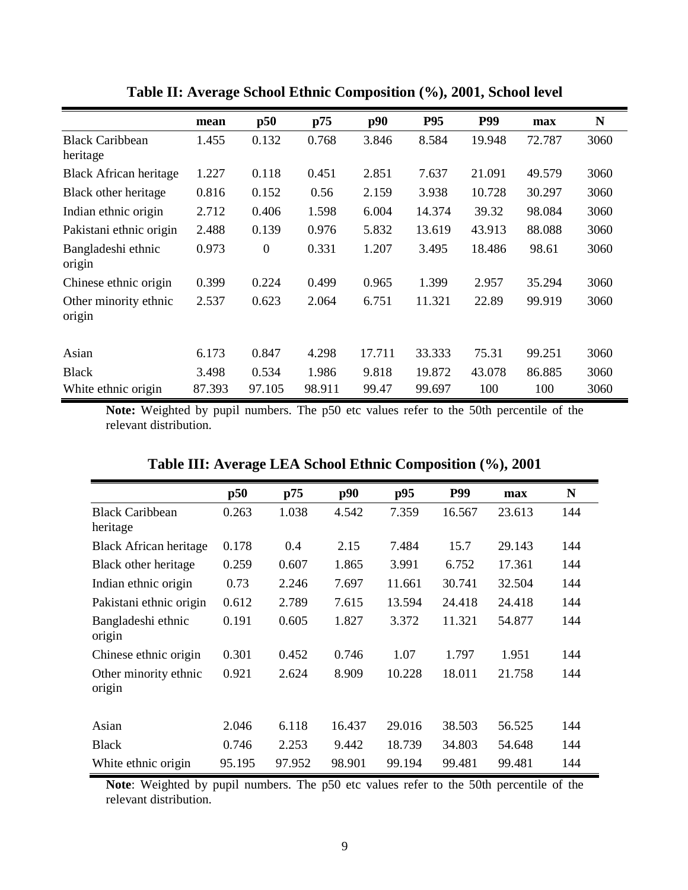|                                 | mean   | p50      | p75    | p90    | P95    | <b>P99</b> | max    | N    |
|---------------------------------|--------|----------|--------|--------|--------|------------|--------|------|
| <b>Black Caribbean</b>          | 1.455  | 0.132    | 0.768  | 3.846  | 8.584  | 19.948     | 72.787 | 3060 |
| heritage                        |        |          |        |        |        |            |        |      |
| <b>Black African heritage</b>   | 1.227  | 0.118    | 0.451  | 2.851  | 7.637  | 21.091     | 49.579 | 3060 |
| Black other heritage            | 0.816  | 0.152    | 0.56   | 2.159  | 3.938  | 10.728     | 30.297 | 3060 |
| Indian ethnic origin            | 2.712  | 0.406    | 1.598  | 6.004  | 14.374 | 39.32      | 98.084 | 3060 |
| Pakistani ethnic origin         | 2.488  | 0.139    | 0.976  | 5.832  | 13.619 | 43.913     | 88.088 | 3060 |
| Bangladeshi ethnic<br>origin    | 0.973  | $\theta$ | 0.331  | 1.207  | 3.495  | 18.486     | 98.61  | 3060 |
| Chinese ethnic origin           | 0.399  | 0.224    | 0.499  | 0.965  | 1.399  | 2.957      | 35.294 | 3060 |
| Other minority ethnic<br>origin | 2.537  | 0.623    | 2.064  | 6.751  | 11.321 | 22.89      | 99.919 | 3060 |
|                                 |        |          |        |        |        |            |        |      |
| Asian                           | 6.173  | 0.847    | 4.298  | 17.711 | 33.333 | 75.31      | 99.251 | 3060 |
| <b>Black</b>                    | 3.498  | 0.534    | 1.986  | 9.818  | 19.872 | 43.078     | 86.885 | 3060 |
| White ethnic origin             | 87.393 | 97.105   | 98.911 | 99.47  | 99.697 | 100        | 100    | 3060 |

**Table II: Average School Ethnic Composition (%), 2001, School level** 

**Note:** Weighted by pupil numbers. The p50 etc values refer to the 50th percentile of the relevant distribution.

|                               | p50    | p75    | p90    | p95    | P99    | max    | N   |
|-------------------------------|--------|--------|--------|--------|--------|--------|-----|
| <b>Black Caribbean</b>        | 0.263  | 1.038  | 4.542  | 7.359  | 16.567 | 23.613 | 144 |
| heritage                      |        |        |        |        |        |        |     |
| <b>Black African heritage</b> | 0.178  | 0.4    | 2.15   | 7.484  | 15.7   | 29.143 | 144 |
| Black other heritage          | 0.259  | 0.607  | 1.865  | 3.991  | 6.752  | 17.361 | 144 |
| Indian ethnic origin          | 0.73   | 2.246  | 7.697  | 11.661 | 30.741 | 32.504 | 144 |
| Pakistani ethnic origin       | 0.612  | 2.789  | 7.615  | 13.594 | 24.418 | 24.418 | 144 |
| Bangladeshi ethnic            | 0.191  | 0.605  | 1.827  | 3.372  | 11.321 | 54.877 | 144 |
| origin                        |        |        |        |        |        |        |     |
| Chinese ethnic origin         | 0.301  | 0.452  | 0.746  | 1.07   | 1.797  | 1.951  | 144 |
| Other minority ethnic         | 0.921  | 2.624  | 8.909  | 10.228 | 18.011 | 21.758 | 144 |
| origin                        |        |        |        |        |        |        |     |
|                               |        |        |        |        |        |        |     |
| Asian                         | 2.046  | 6.118  | 16.437 | 29.016 | 38.503 | 56.525 | 144 |
| <b>Black</b>                  | 0.746  | 2.253  | 9.442  | 18.739 | 34.803 | 54.648 | 144 |
| White ethnic origin           | 95.195 | 97.952 | 98.901 | 99.194 | 99.481 | 99.481 | 144 |

|  | Table III: Average LEA School Ethnic Composition (%), 2001 |  |
|--|------------------------------------------------------------|--|
|  |                                                            |  |

Note: Weighted by pupil numbers. The p50 etc values refer to the 50th percentile of the relevant distribution.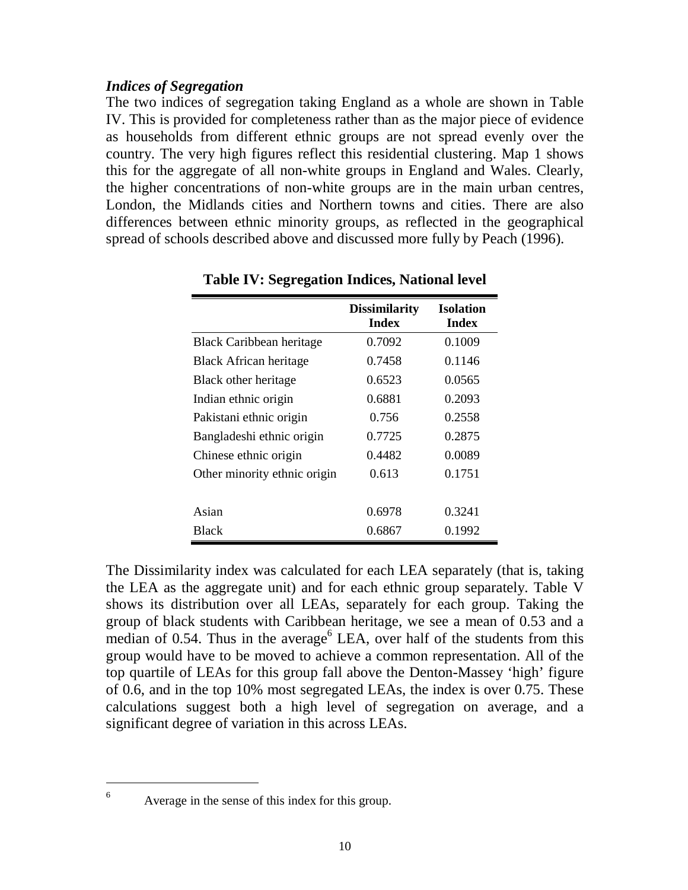#### *Indices of Segregation*

The two indices of segregation taking England as a whole are shown in Table IV. This is provided for completeness rather than as the major piece of evidence as households from different ethnic groups are not spread evenly over the country. The very high figures reflect this residential clustering. Map 1 shows this for the aggregate of all non-white groups in England and Wales. Clearly, the higher concentrations of non-white groups are in the main urban centres, London, the Midlands cities and Northern towns and cities. There are also differences between ethnic minority groups, as reflected in the geographical spread of schools described above and discussed more fully by Peach (1996).

|                               | <b>Dissimilarity</b><br><b>Index</b> | <b>Isolation</b><br><b>Index</b> |
|-------------------------------|--------------------------------------|----------------------------------|
| Black Caribbean heritage      | 0.7092                               | 0.1009                           |
| <b>Black African heritage</b> | 0.7458                               | 0.1146                           |
| Black other heritage          | 0.6523                               | 0.0565                           |
| Indian ethnic origin          | 0.6881                               | 0.2093                           |
| Pakistani ethnic origin       | 0.756                                | 0.2558                           |
| Bangladeshi ethnic origin     | 0.7725                               | 0.2875                           |
| Chinese ethnic origin         | 0.4482                               | 0.0089                           |
| Other minority ethnic origin  | 0.613                                | 0.1751                           |
|                               |                                      |                                  |
| Asian                         | 0.6978                               | 0.3241                           |
| <b>Black</b>                  | 0.6867                               | 0.1992                           |

**Table IV: Segregation Indices, National level** 

The Dissimilarity index was calculated for each LEA separately (that is, taking the LEA as the aggregate unit) and for each ethnic group separately. Table V shows its distribution over all LEAs, separately for each group. Taking the group of black students with Caribbean heritage, we see a mean of 0.53 and a median of 0.54. Thus in the average<sup>6</sup> LEA, over half of the students from this group would have to be moved to achieve a common representation. All of the top quartile of LEAs for this group fall above the Denton-Massey 'high' figure of 0.6, and in the top 10% most segregated LEAs, the index is over 0.75. These calculations suggest both a high level of segregation on average, and a significant degree of variation in this across LEAs.

Average in the sense of this index for this group.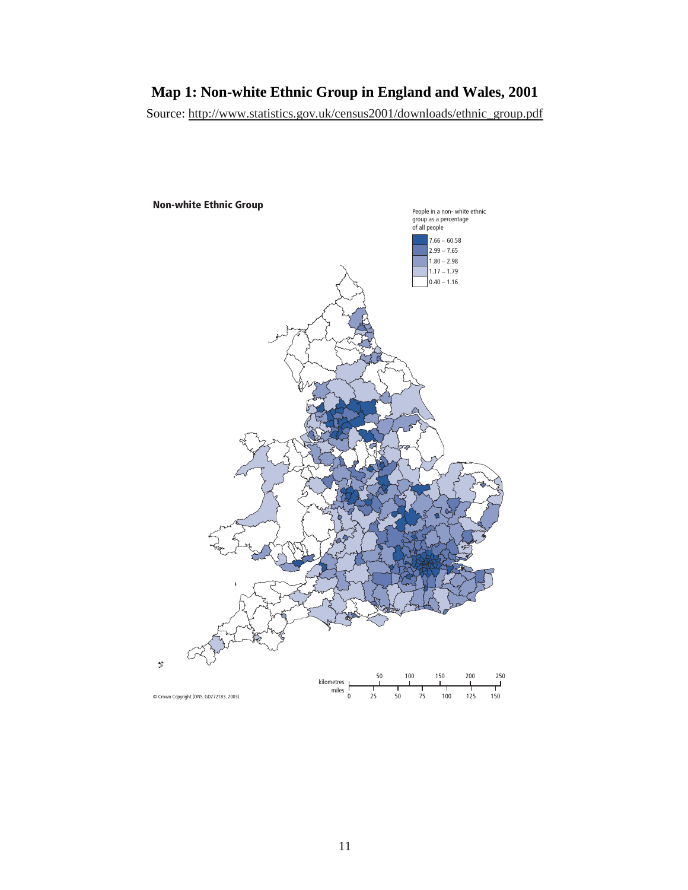#### **Map 1: Non-white Ethnic Group in England and Wales, 2001**

Source: http://www.statistics.gov.uk/census2001/downloads/ethnic\_group.pdf

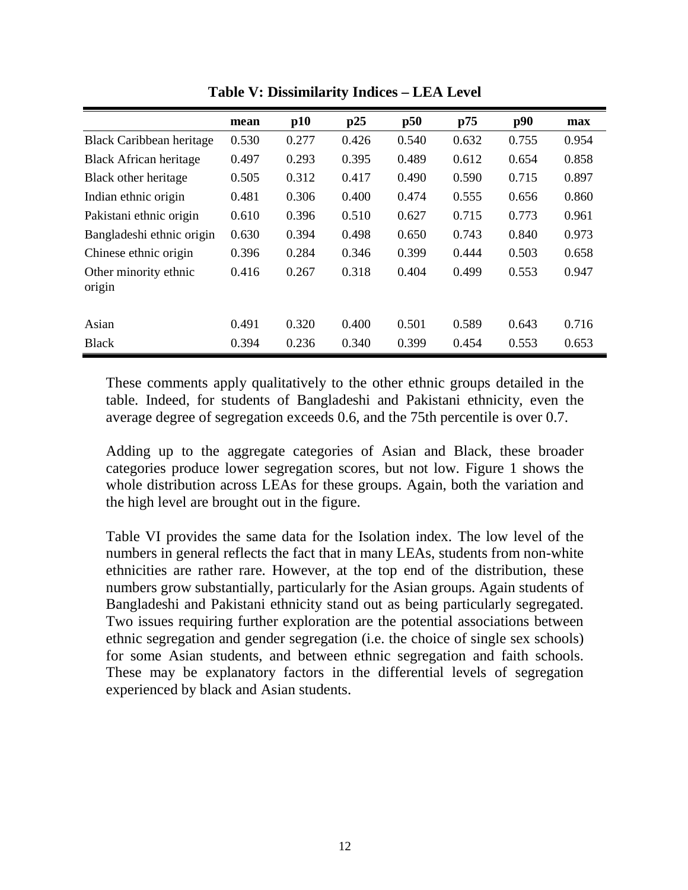|                                 | mean  | p10   | p25   | p50   | p75   | p90   | max   |
|---------------------------------|-------|-------|-------|-------|-------|-------|-------|
| <b>Black Caribbean heritage</b> | 0.530 | 0.277 | 0.426 | 0.540 | 0.632 | 0.755 | 0.954 |
| <b>Black African heritage</b>   | 0.497 | 0.293 | 0.395 | 0.489 | 0.612 | 0.654 | 0.858 |
| Black other heritage            | 0.505 | 0.312 | 0.417 | 0.490 | 0.590 | 0.715 | 0.897 |
| Indian ethnic origin            | 0.481 | 0.306 | 0.400 | 0.474 | 0.555 | 0.656 | 0.860 |
| Pakistani ethnic origin         | 0.610 | 0.396 | 0.510 | 0.627 | 0.715 | 0.773 | 0.961 |
| Bangladeshi ethnic origin       | 0.630 | 0.394 | 0.498 | 0.650 | 0.743 | 0.840 | 0.973 |
| Chinese ethnic origin           | 0.396 | 0.284 | 0.346 | 0.399 | 0.444 | 0.503 | 0.658 |
| Other minority ethnic<br>origin | 0.416 | 0.267 | 0.318 | 0.404 | 0.499 | 0.553 | 0.947 |
|                                 |       |       |       |       |       |       |       |
| Asian                           | 0.491 | 0.320 | 0.400 | 0.501 | 0.589 | 0.643 | 0.716 |
| <b>Black</b>                    | 0.394 | 0.236 | 0.340 | 0.399 | 0.454 | 0.553 | 0.653 |

**Table V: Dissimilarity Indices – LEA Level** 

These comments apply qualitatively to the other ethnic groups detailed in the table. Indeed, for students of Bangladeshi and Pakistani ethnicity, even the average degree of segregation exceeds 0.6, and the 75th percentile is over 0.7.

Adding up to the aggregate categories of Asian and Black, these broader categories produce lower segregation scores, but not low. Figure 1 shows the whole distribution across LEAs for these groups. Again, both the variation and the high level are brought out in the figure.

Table VI provides the same data for the Isolation index. The low level of the numbers in general reflects the fact that in many LEAs, students from non-white ethnicities are rather rare. However, at the top end of the distribution, these numbers grow substantially, particularly for the Asian groups. Again students of Bangladeshi and Pakistani ethnicity stand out as being particularly segregated. Two issues requiring further exploration are the potential associations between ethnic segregation and gender segregation (i.e. the choice of single sex schools) for some Asian students, and between ethnic segregation and faith schools. These may be explanatory factors in the differential levels of segregation experienced by black and Asian students.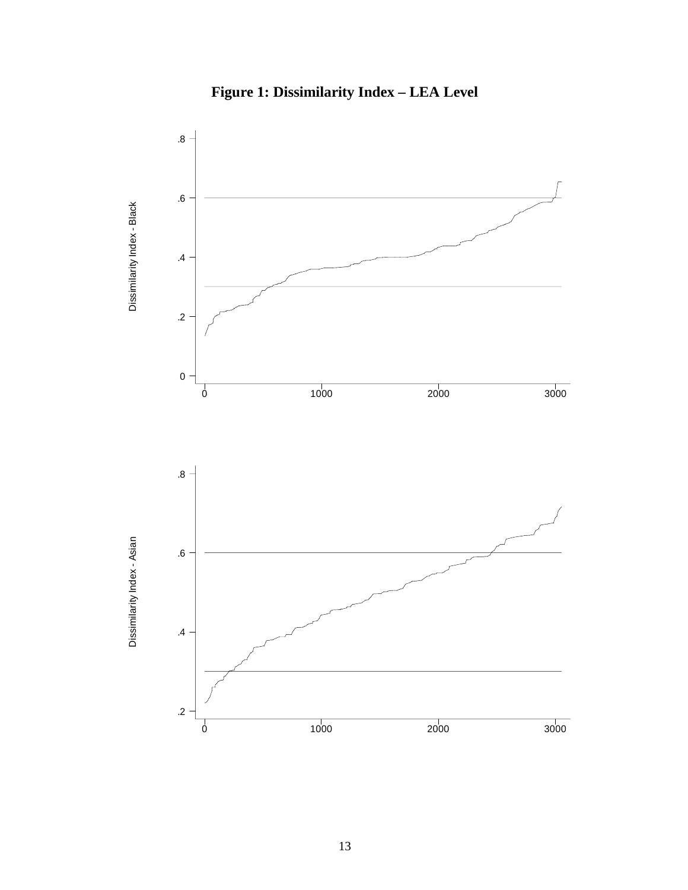

**Figure 1: Dissimilarity Index – LEA Level**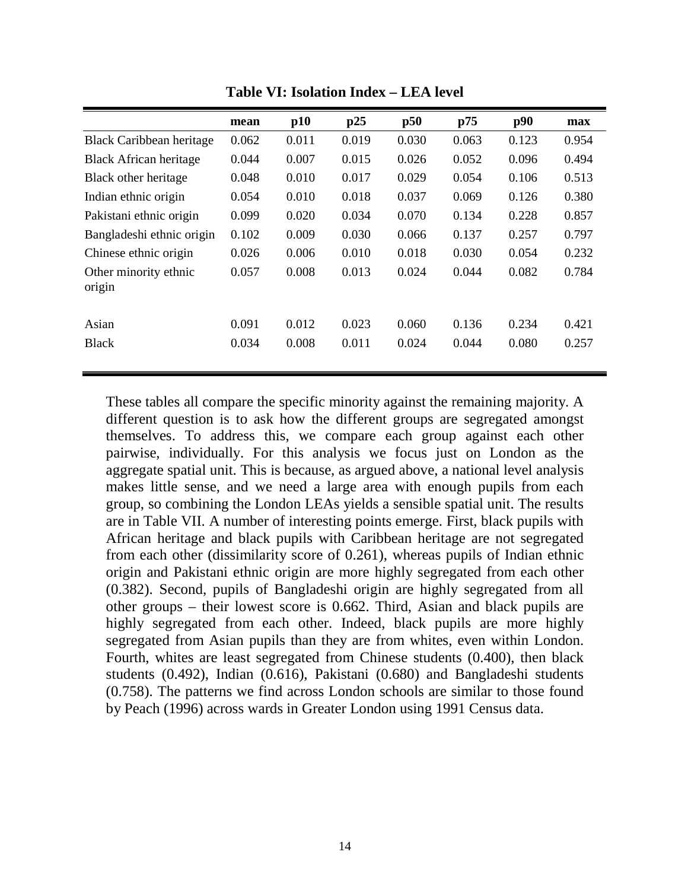|                                 | mean  | p10   | p25   | p50   | p75   | p90   | max   |
|---------------------------------|-------|-------|-------|-------|-------|-------|-------|
| <b>Black Caribbean heritage</b> | 0.062 | 0.011 | 0.019 | 0.030 | 0.063 | 0.123 | 0.954 |
| <b>Black African heritage</b>   | 0.044 | 0.007 | 0.015 | 0.026 | 0.052 | 0.096 | 0.494 |
| Black other heritage            | 0.048 | 0.010 | 0.017 | 0.029 | 0.054 | 0.106 | 0.513 |
| Indian ethnic origin            | 0.054 | 0.010 | 0.018 | 0.037 | 0.069 | 0.126 | 0.380 |
| Pakistani ethnic origin         | 0.099 | 0.020 | 0.034 | 0.070 | 0.134 | 0.228 | 0.857 |
| Bangladeshi ethnic origin       | 0.102 | 0.009 | 0.030 | 0.066 | 0.137 | 0.257 | 0.797 |
| Chinese ethnic origin           | 0.026 | 0.006 | 0.010 | 0.018 | 0.030 | 0.054 | 0.232 |
| Other minority ethnic<br>origin | 0.057 | 0.008 | 0.013 | 0.024 | 0.044 | 0.082 | 0.784 |
| Asian                           | 0.091 | 0.012 | 0.023 | 0.060 | 0.136 | 0.234 | 0.421 |
| <b>Black</b>                    | 0.034 | 0.008 | 0.011 | 0.024 | 0.044 | 0.080 | 0.257 |

**Table VI: Isolation Index – LEA level** 

These tables all compare the specific minority against the remaining majority. A different question is to ask how the different groups are segregated amongst themselves. To address this, we compare each group against each other pairwise, individually. For this analysis we focus just on London as the aggregate spatial unit. This is because, as argued above, a national level analysis makes little sense, and we need a large area with enough pupils from each group, so combining the London LEAs yields a sensible spatial unit. The results are in Table VII. A number of interesting points emerge. First, black pupils with African heritage and black pupils with Caribbean heritage are not segregated from each other (dissimilarity score of 0.261), whereas pupils of Indian ethnic origin and Pakistani ethnic origin are more highly segregated from each other (0.382). Second, pupils of Bangladeshi origin are highly segregated from all other groups – their lowest score is 0.662. Third, Asian and black pupils are highly segregated from each other. Indeed, black pupils are more highly segregated from Asian pupils than they are from whites, even within London. Fourth, whites are least segregated from Chinese students (0.400), then black students (0.492), Indian (0.616), Pakistani (0.680) and Bangladeshi students (0.758). The patterns we find across London schools are similar to those found by Peach (1996) across wards in Greater London using 1991 Census data.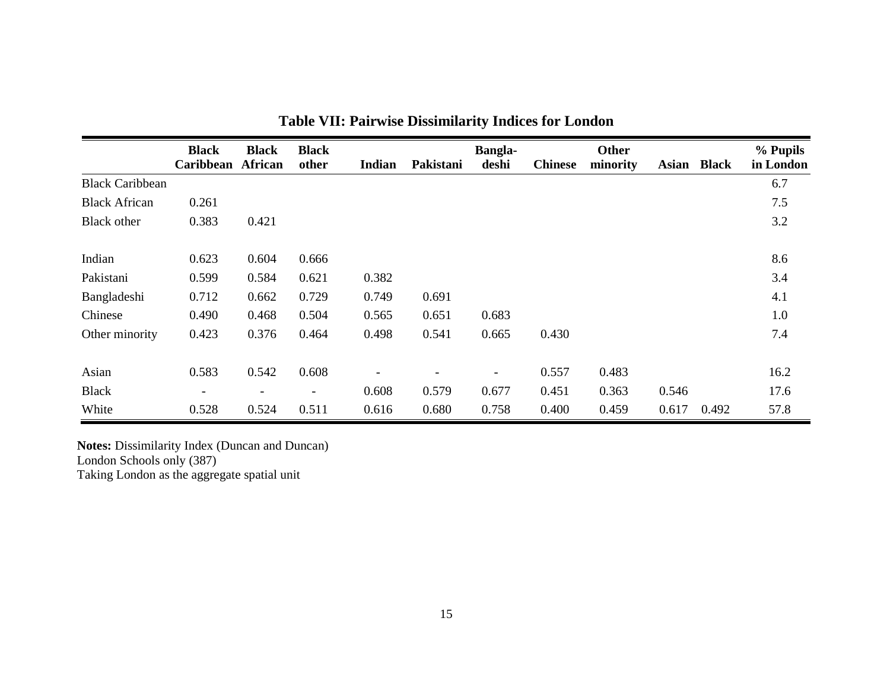|                        | <b>Black</b><br><b>Caribbean</b> | <b>Black</b><br>African  | <b>Black</b><br>other | <b>Indian</b>                | Pakistani | <b>Bangla-</b><br>deshi | <b>Chinese</b> | Other<br>minority | <b>Asian</b> | <b>Black</b> | % Pupils<br>in London |
|------------------------|----------------------------------|--------------------------|-----------------------|------------------------------|-----------|-------------------------|----------------|-------------------|--------------|--------------|-----------------------|
| <b>Black Caribbean</b> |                                  |                          |                       |                              |           |                         |                |                   |              |              | 6.7                   |
| <b>Black African</b>   | 0.261                            |                          |                       |                              |           |                         |                |                   |              |              | 7.5                   |
| <b>Black</b> other     | 0.383                            | 0.421                    |                       |                              |           |                         |                |                   |              |              | 3.2                   |
| Indian                 | 0.623                            | 0.604                    | 0.666                 |                              |           |                         |                |                   |              |              | 8.6                   |
| Pakistani              | 0.599                            | 0.584                    | 0.621                 | 0.382                        |           |                         |                |                   |              |              | 3.4                   |
| Bangladeshi            | 0.712                            | 0.662                    | 0.729                 | 0.749                        | 0.691     |                         |                |                   |              |              | 4.1                   |
| Chinese                | 0.490                            | 0.468                    | 0.504                 | 0.565                        | 0.651     | 0.683                   |                |                   |              |              | 1.0                   |
| Other minority         | 0.423                            | 0.376                    | 0.464                 | 0.498                        | 0.541     | 0.665                   | 0.430          |                   |              |              | 7.4                   |
| Asian                  | 0.583                            | 0.542                    | 0.608                 | $\qquad \qquad \blacksquare$ |           | -                       | 0.557          | 0.483             |              |              | 16.2                  |
| <b>Black</b>           | $\overline{\phantom{a}}$         | $\overline{\phantom{a}}$ | -                     | 0.608                        | 0.579     | 0.677                   | 0.451          | 0.363             | 0.546        |              | 17.6                  |
| White                  | 0.528                            | 0.524                    | 0.511                 | 0.616                        | 0.680     | 0.758                   | 0.400          | 0.459             | 0.617        | 0.492        | 57.8                  |

**Table VII: Pairwise Dissimilarity Indices for London** 

**Notes:** Dissimilarity Index (Duncan and Duncan) London Schools only (387)

Taking London as the aggregate spatial unit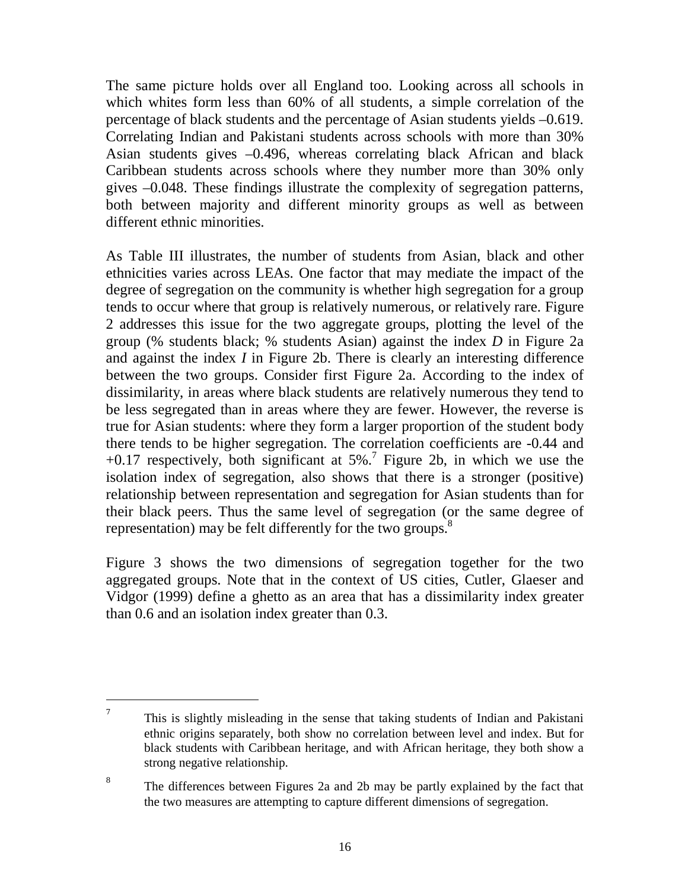The same picture holds over all England too. Looking across all schools in which whites form less than 60% of all students, a simple correlation of the percentage of black students and the percentage of Asian students yields –0.619. Correlating Indian and Pakistani students across schools with more than 30% Asian students gives –0.496, whereas correlating black African and black Caribbean students across schools where they number more than 30% only gives –0.048. These findings illustrate the complexity of segregation patterns, both between majority and different minority groups as well as between different ethnic minorities.

As Table III illustrates, the number of students from Asian, black and other ethnicities varies across LEAs. One factor that may mediate the impact of the degree of segregation on the community is whether high segregation for a group tends to occur where that group is relatively numerous, or relatively rare. Figure 2 addresses this issue for the two aggregate groups, plotting the level of the group (% students black; % students Asian) against the index *D* in Figure 2a and against the index *I* in Figure 2b. There is clearly an interesting difference between the two groups. Consider first Figure 2a. According to the index of dissimilarity, in areas where black students are relatively numerous they tend to be less segregated than in areas where they are fewer. However, the reverse is true for Asian students: where they form a larger proportion of the student body there tends to be higher segregation. The correlation coefficients are -0.44 and  $+0.17$  respectively, both significant at 5%.<sup>7</sup> Figure 2b, in which we use the isolation index of segregation, also shows that there is a stronger (positive) relationship between representation and segregation for Asian students than for their black peers. Thus the same level of segregation (or the same degree of representation) may be felt differently for the two groups.<sup>8</sup>

Figure 3 shows the two dimensions of segregation together for the two aggregated groups. Note that in the context of US cities, Cutler, Glaeser and Vidgor (1999) define a ghetto as an area that has a dissimilarity index greater than 0.6 and an isolation index greater than 0.3.

<sup>7</sup> This is slightly misleading in the sense that taking students of Indian and Pakistani ethnic origins separately, both show no correlation between level and index. But for black students with Caribbean heritage, and with African heritage, they both show a strong negative relationship.

<sup>8</sup> The differences between Figures 2a and 2b may be partly explained by the fact that the two measures are attempting to capture different dimensions of segregation.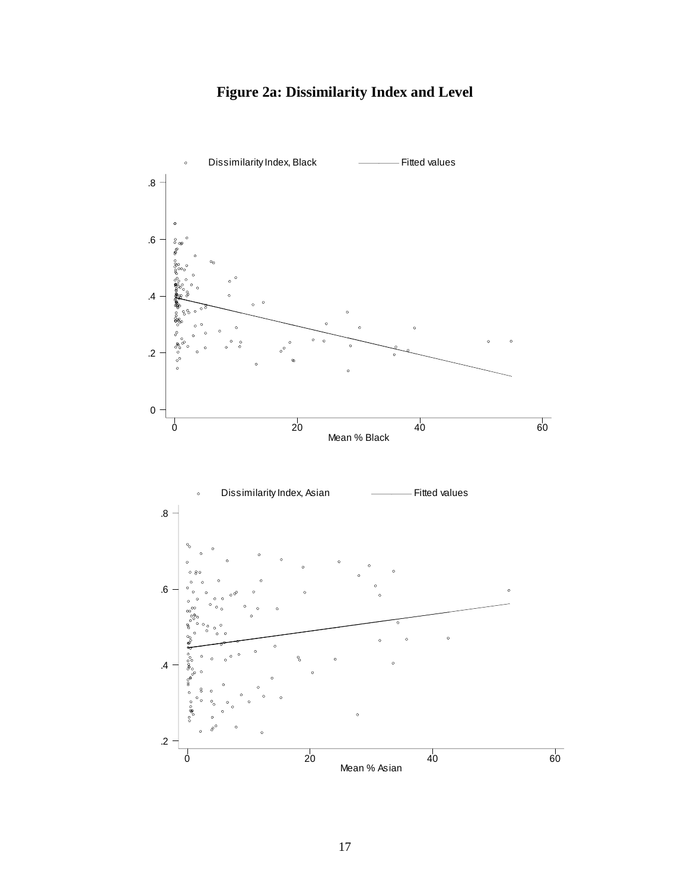## **Figure 2a: Dissimilarity Index and Level**

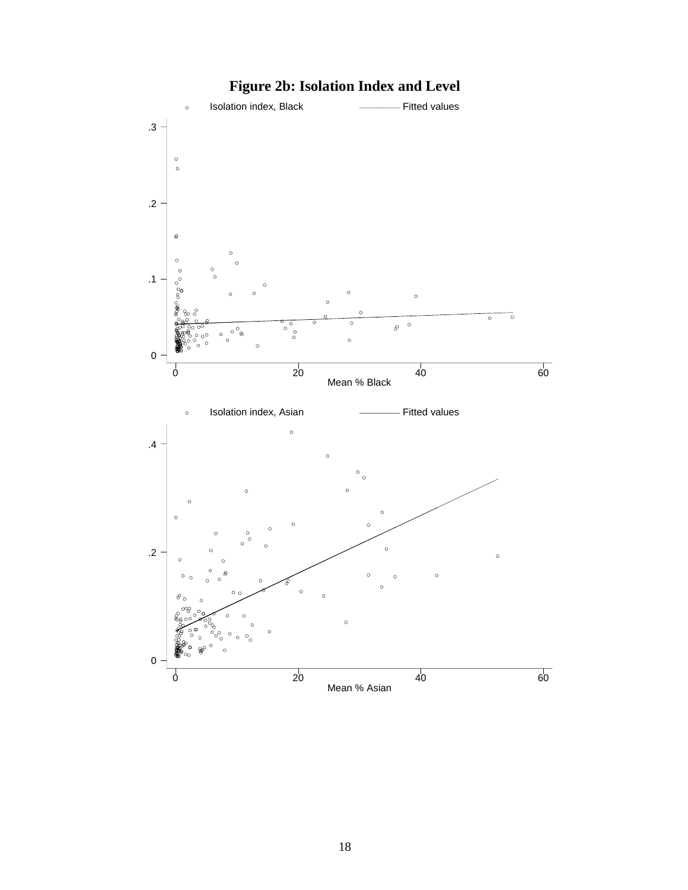

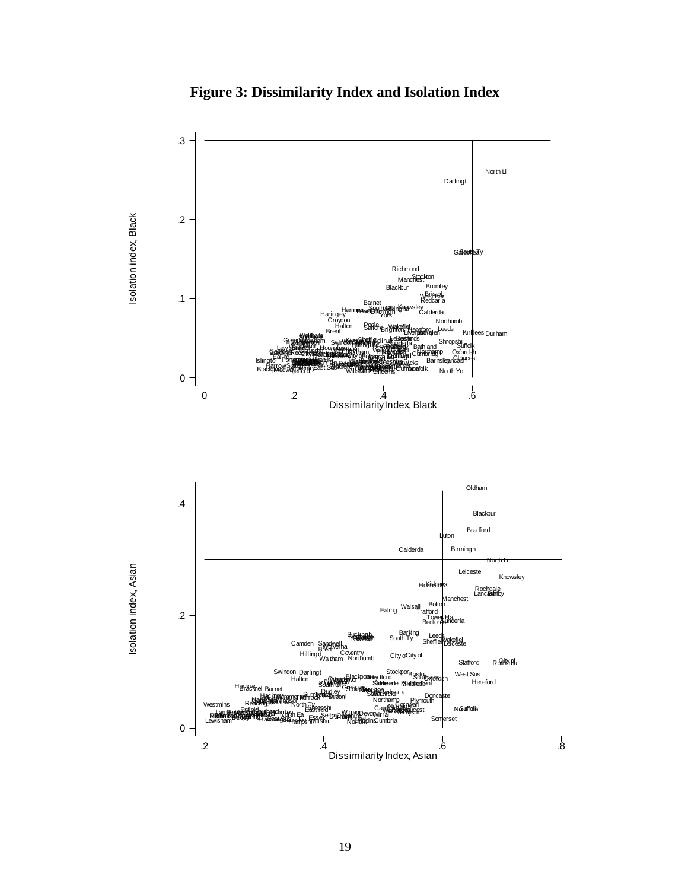

**Figure 3: Dissimilarity Index and Isolation Index**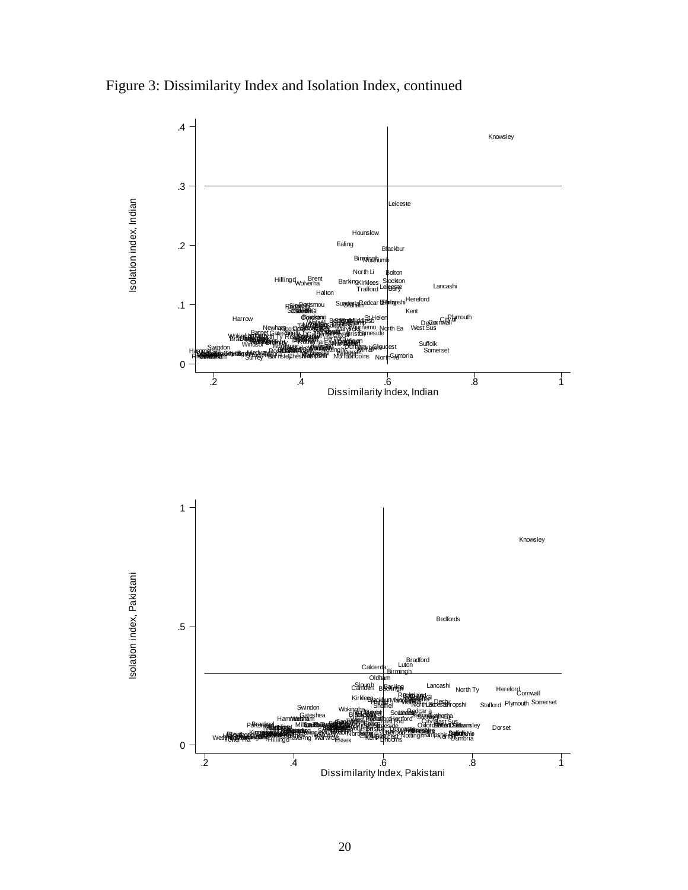Figure 3: Dissimilarity Index and Isolation Index, continued

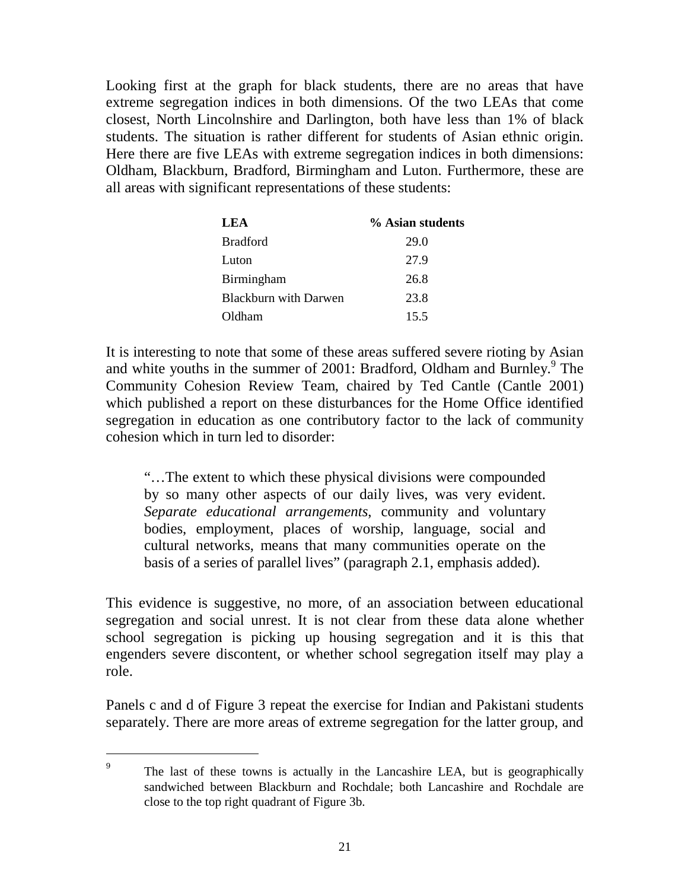Looking first at the graph for black students, there are no areas that have extreme segregation indices in both dimensions. Of the two LEAs that come closest, North Lincolnshire and Darlington, both have less than 1% of black students. The situation is rather different for students of Asian ethnic origin. Here there are five LEAs with extreme segregation indices in both dimensions: Oldham, Blackburn, Bradford, Birmingham and Luton. Furthermore, these are all areas with significant representations of these students:

| <b>LEA</b>                   | % Asian students |
|------------------------------|------------------|
| <b>Bradford</b>              | 29.0             |
| Luton                        | 27.9             |
| Birmingham                   | 26.8             |
| <b>Blackburn with Darwen</b> | 23.8             |
| Oldham                       | 15.5             |

It is interesting to note that some of these areas suffered severe rioting by Asian and white youths in the summer of 2001: Bradford, Oldham and Burnley.<sup>9</sup> The Community Cohesion Review Team, chaired by Ted Cantle (Cantle 2001) which published a report on these disturbances for the Home Office identified segregation in education as one contributory factor to the lack of community cohesion which in turn led to disorder:

"…The extent to which these physical divisions were compounded by so many other aspects of our daily lives, was very evident. *Separate educational arrangements*, community and voluntary bodies, employment, places of worship, language, social and cultural networks, means that many communities operate on the basis of a series of parallel lives" (paragraph 2.1, emphasis added).

This evidence is suggestive, no more, of an association between educational segregation and social unrest. It is not clear from these data alone whether school segregation is picking up housing segregation and it is this that engenders severe discontent, or whether school segregation itself may play a role.

Panels c and d of Figure 3 repeat the exercise for Indian and Pakistani students separately. There are more areas of extreme segregation for the latter group, and

<sup>9</sup> The last of these towns is actually in the Lancashire LEA, but is geographically sandwiched between Blackburn and Rochdale; both Lancashire and Rochdale are close to the top right quadrant of Figure 3b.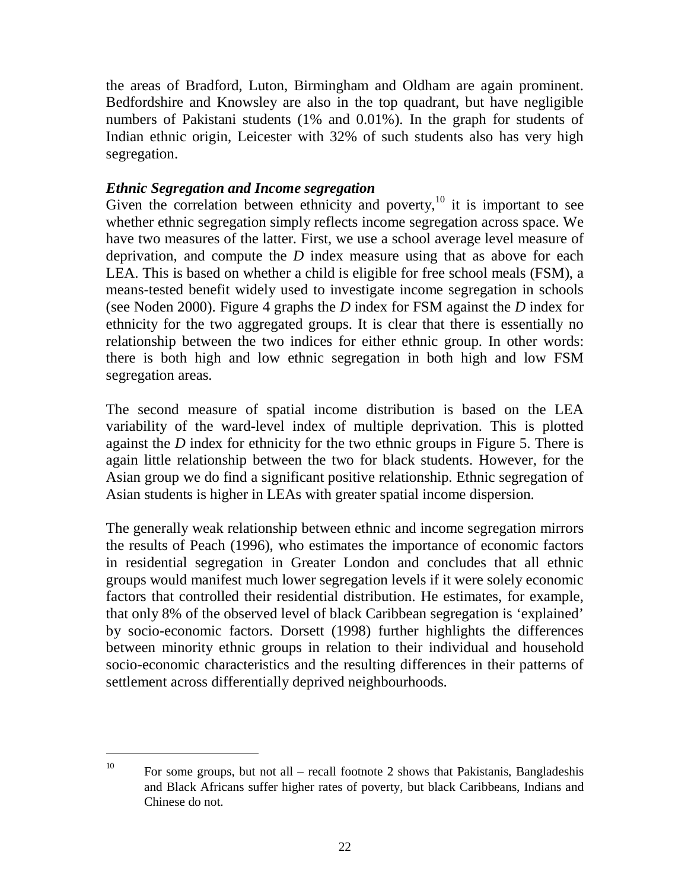the areas of Bradford, Luton, Birmingham and Oldham are again prominent. Bedfordshire and Knowsley are also in the top quadrant, but have negligible numbers of Pakistani students (1% and 0.01%). In the graph for students of Indian ethnic origin, Leicester with 32% of such students also has very high segregation.

#### *Ethnic Segregation and Income segregation*

Given the correlation between ethnicity and poverty, $10$  it is important to see whether ethnic segregation simply reflects income segregation across space. We have two measures of the latter. First, we use a school average level measure of deprivation, and compute the *D* index measure using that as above for each LEA. This is based on whether a child is eligible for free school meals (FSM), a means-tested benefit widely used to investigate income segregation in schools (see Noden 2000). Figure 4 graphs the *D* index for FSM against the *D* index for ethnicity for the two aggregated groups. It is clear that there is essentially no relationship between the two indices for either ethnic group. In other words: there is both high and low ethnic segregation in both high and low FSM segregation areas.

The second measure of spatial income distribution is based on the LEA variability of the ward-level index of multiple deprivation. This is plotted against the *D* index for ethnicity for the two ethnic groups in Figure 5. There is again little relationship between the two for black students. However, for the Asian group we do find a significant positive relationship. Ethnic segregation of Asian students is higher in LEAs with greater spatial income dispersion.

The generally weak relationship between ethnic and income segregation mirrors the results of Peach (1996), who estimates the importance of economic factors in residential segregation in Greater London and concludes that all ethnic groups would manifest much lower segregation levels if it were solely economic factors that controlled their residential distribution. He estimates, for example, that only 8% of the observed level of black Caribbean segregation is 'explained' by socio-economic factors. Dorsett (1998) further highlights the differences between minority ethnic groups in relation to their individual and household socio-economic characteristics and the resulting differences in their patterns of settlement across differentially deprived neighbourhoods.

<sup>&</sup>lt;sup>10</sup> For some groups, but not all – recall footnote 2 shows that Pakistanis, Bangladeshis and Black Africans suffer higher rates of poverty, but black Caribbeans, Indians and Chinese do not.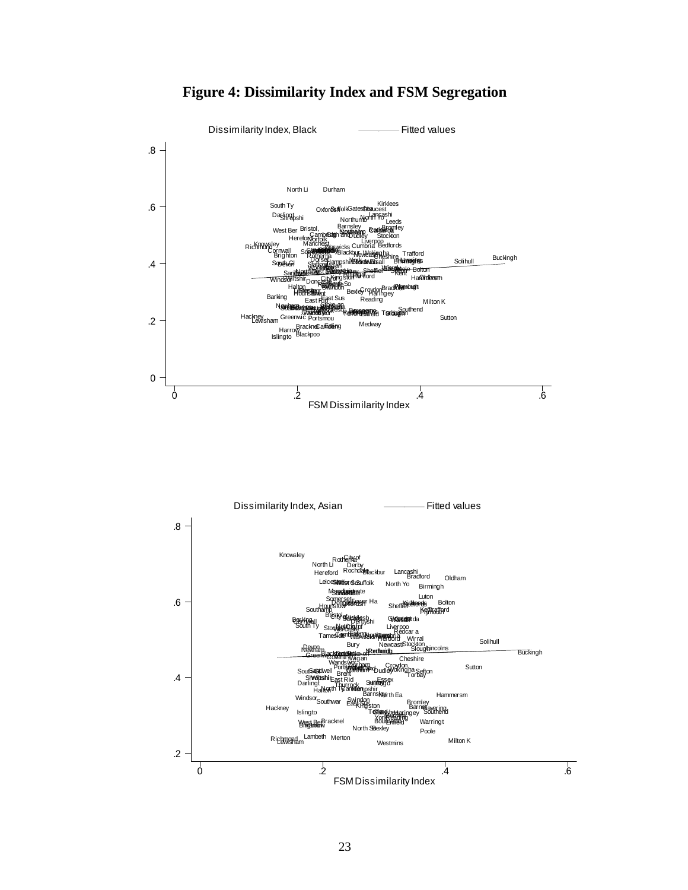

#### **Figure 4: Dissimilarity Index and FSM Segregation**

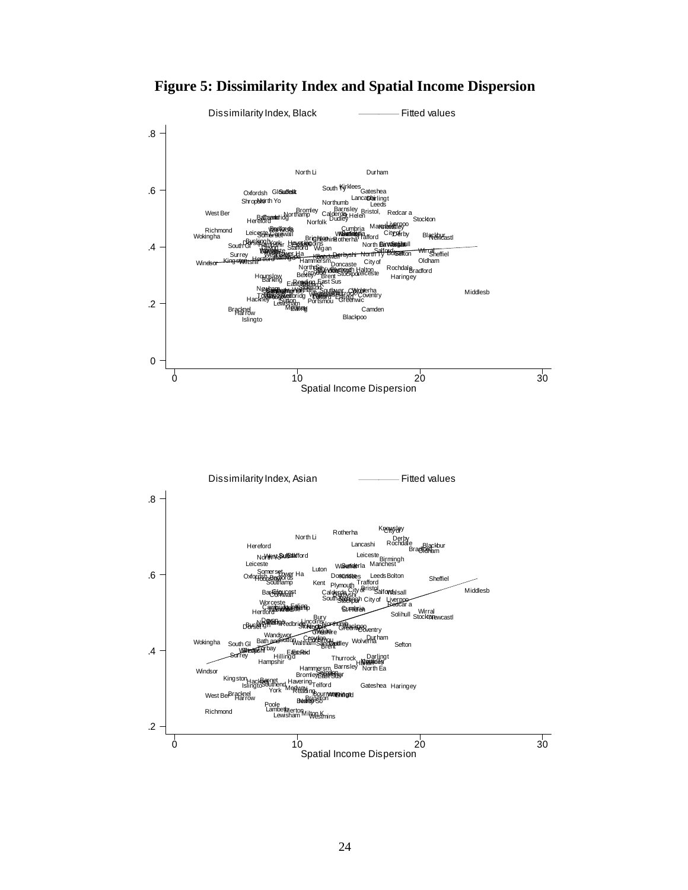**Figure 5: Dissimilarity Index and Spatial Income Dispersion** 

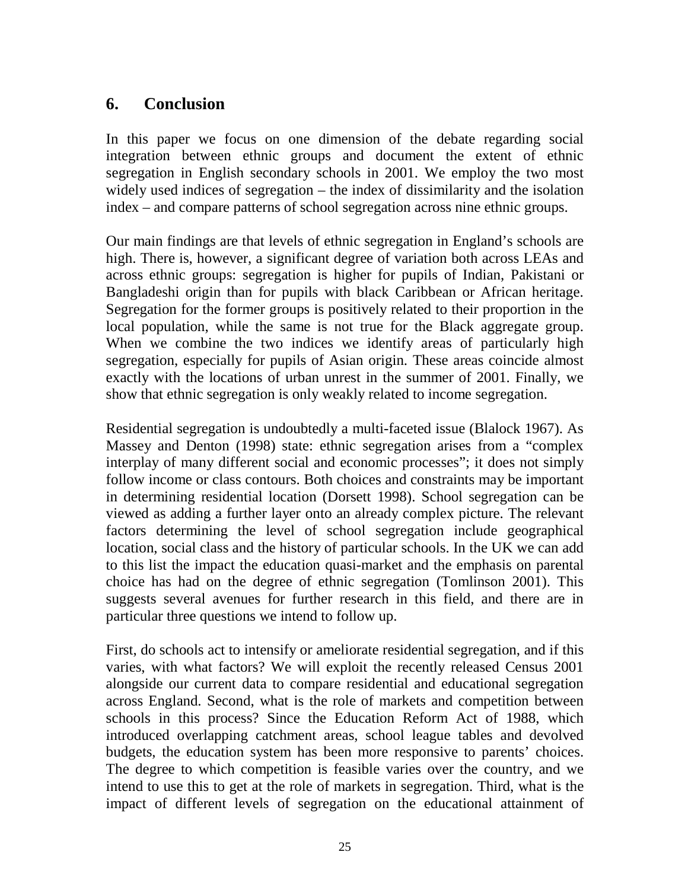#### **6. Conclusion**

In this paper we focus on one dimension of the debate regarding social integration between ethnic groups and document the extent of ethnic segregation in English secondary schools in 2001. We employ the two most widely used indices of segregation – the index of dissimilarity and the isolation index – and compare patterns of school segregation across nine ethnic groups.

Our main findings are that levels of ethnic segregation in England's schools are high. There is, however, a significant degree of variation both across LEAs and across ethnic groups: segregation is higher for pupils of Indian, Pakistani or Bangladeshi origin than for pupils with black Caribbean or African heritage. Segregation for the former groups is positively related to their proportion in the local population, while the same is not true for the Black aggregate group. When we combine the two indices we identify areas of particularly high segregation, especially for pupils of Asian origin. These areas coincide almost exactly with the locations of urban unrest in the summer of 2001. Finally, we show that ethnic segregation is only weakly related to income segregation.

Residential segregation is undoubtedly a multi-faceted issue (Blalock 1967). As Massey and Denton (1998) state: ethnic segregation arises from a "complex interplay of many different social and economic processes"; it does not simply follow income or class contours. Both choices and constraints may be important in determining residential location (Dorsett 1998). School segregation can be viewed as adding a further layer onto an already complex picture. The relevant factors determining the level of school segregation include geographical location, social class and the history of particular schools. In the UK we can add to this list the impact the education quasi-market and the emphasis on parental choice has had on the degree of ethnic segregation (Tomlinson 2001). This suggests several avenues for further research in this field, and there are in particular three questions we intend to follow up.

First, do schools act to intensify or ameliorate residential segregation, and if this varies, with what factors? We will exploit the recently released Census 2001 alongside our current data to compare residential and educational segregation across England. Second, what is the role of markets and competition between schools in this process? Since the Education Reform Act of 1988, which introduced overlapping catchment areas, school league tables and devolved budgets, the education system has been more responsive to parents' choices. The degree to which competition is feasible varies over the country, and we intend to use this to get at the role of markets in segregation. Third, what is the impact of different levels of segregation on the educational attainment of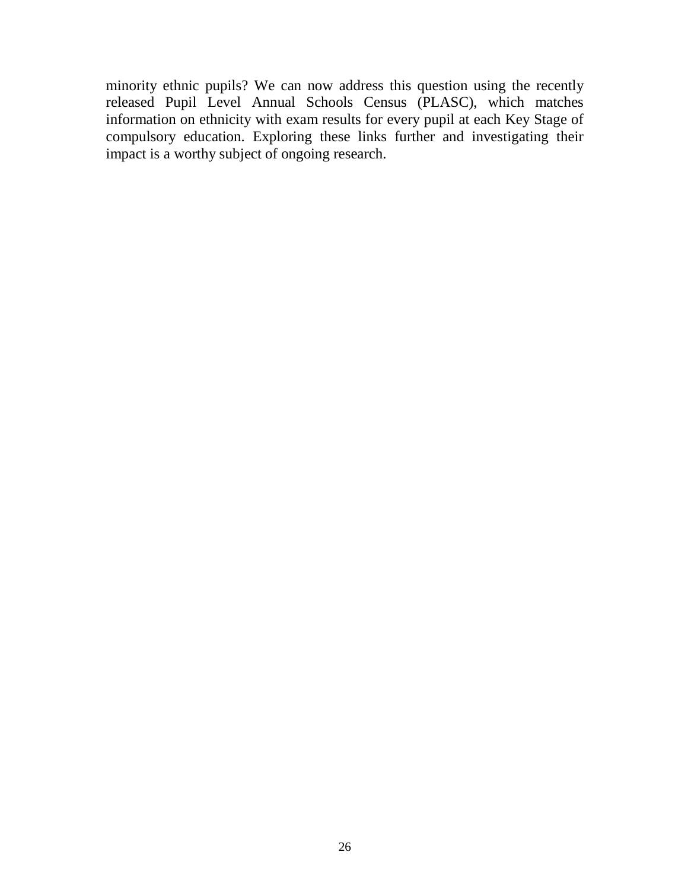minority ethnic pupils? We can now address this question using the recently released Pupil Level Annual Schools Census (PLASC), which matches information on ethnicity with exam results for every pupil at each Key Stage of compulsory education. Exploring these links further and investigating their impact is a worthy subject of ongoing research.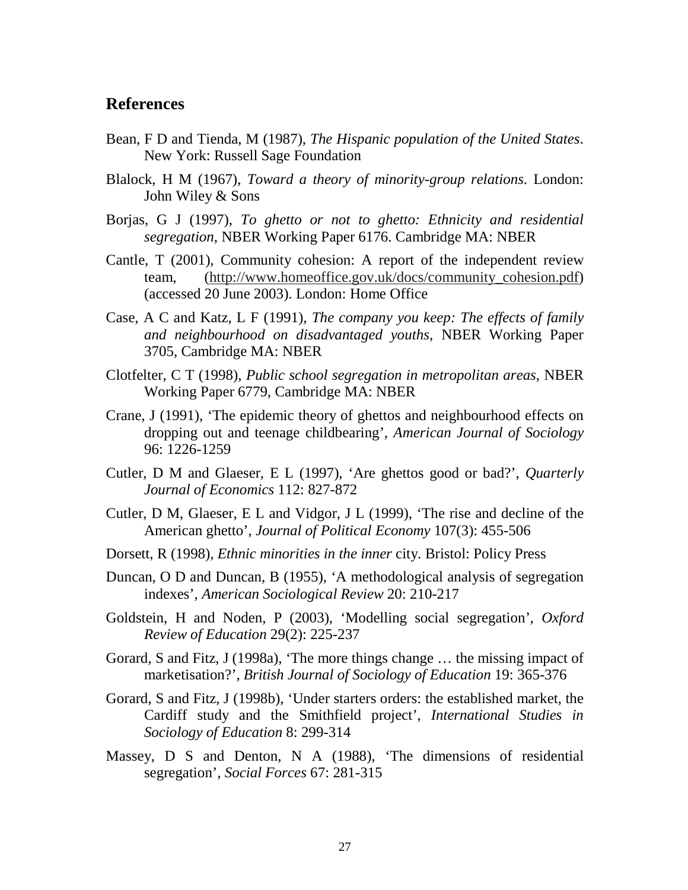#### **References**

- Bean, F D and Tienda, M (1987), *The Hispanic population of the United States*. New York: Russell Sage Foundation
- Blalock, H M (1967), *Toward a theory of minority-group relations*. London: John Wiley & Sons
- Borjas, G J (1997), *To ghetto or not to ghetto: Ethnicity and residential segregation*, NBER Working Paper 6176. Cambridge MA: NBER
- Cantle, T (2001), Community cohesion: A report of the independent review team, (http://www.homeoffice.gov.uk/docs/community\_cohesion.pdf) (accessed 20 June 2003). London: Home Office
- Case, A C and Katz, L F (1991), *The company you keep: The effects of family and neighbourhood on disadvantaged youths*, NBER Working Paper 3705, Cambridge MA: NBER
- Clotfelter, C T (1998), *Public school segregation in metropolitan areas*, NBER Working Paper 6779, Cambridge MA: NBER
- Crane, J (1991), 'The epidemic theory of ghettos and neighbourhood effects on dropping out and teenage childbearing', *American Journal of Sociology* 96: 1226-1259
- Cutler, D M and Glaeser, E L (1997), 'Are ghettos good or bad?', *Quarterly Journal of Economics* 112: 827-872
- Cutler, D M, Glaeser, E L and Vidgor, J L (1999), 'The rise and decline of the American ghetto', *Journal of Political Economy* 107(3): 455-506
- Dorsett, R (1998), *Ethnic minorities in the inner* city. Bristol: Policy Press
- Duncan, O D and Duncan, B (1955), 'A methodological analysis of segregation indexes', *American Sociological Review* 20: 210-217
- Goldstein, H and Noden, P (2003), 'Modelling social segregation', *Oxford Review of Education* 29(2): 225-237
- Gorard, S and Fitz, J (1998a), 'The more things change … the missing impact of marketisation?', *British Journal of Sociology of Education* 19: 365-376
- Gorard, S and Fitz, J (1998b), 'Under starters orders: the established market, the Cardiff study and the Smithfield project', *International Studies in Sociology of Education* 8: 299-314
- Massey, D S and Denton, N A (1988), 'The dimensions of residential segregation', *Social Forces* 67: 281-315